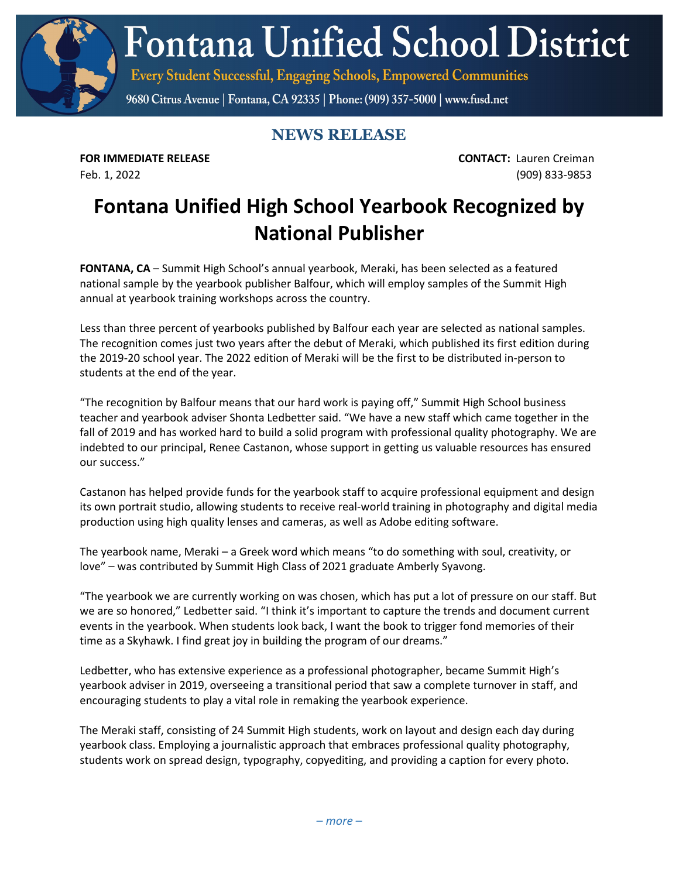**Fontana Unified School District** 

Every Student Successful, Engaging Schools, Empowered Communities

9680 Citrus Avenue | Fontana, CA 92335 | Phone: (909) 357-5000 | www.fusd.net

## **NEWS RELEASE**

**FOR IMMEDIATE RELEASE CONTACT:** Lauren Creiman Feb. 1, 2022 (909) 833-9853

## **Fontana Unified High School Yearbook Recognized by National Publisher**

**FONTANA, CA** – Summit High School's annual yearbook, Meraki, has been selected as a featured national sample by the yearbook publisher Balfour, which will employ samples of the Summit High annual at yearbook training workshops across the country.

Less than three percent of yearbooks published by Balfour each year are selected as national samples. The recognition comes just two years after the debut of Meraki, which published its first edition during the 2019-20 school year. The 2022 edition of Meraki will be the first to be distributed in-person to students at the end of the year.

"The recognition by Balfour means that our hard work is paying off," Summit High School business teacher and yearbook adviser Shonta Ledbetter said. "We have a new staff which came together in the fall of 2019 and has worked hard to build a solid program with professional quality photography. We are indebted to our principal, Renee Castanon, whose support in getting us valuable resources has ensured our success."

Castanon has helped provide funds for the yearbook staff to acquire professional equipment and design its own portrait studio, allowing students to receive real-world training in photography and digital media production using high quality lenses and cameras, as well as Adobe editing software.

The yearbook name, Meraki – a Greek word which means "to do something with soul, creativity, or love" – was contributed by Summit High Class of 2021 graduate Amberly Syavong.

"The yearbook we are currently working on was chosen, which has put a lot of pressure on our staff. But we are so honored," Ledbetter said. "I think it's important to capture the trends and document current events in the yearbook. When students look back, I want the book to trigger fond memories of their time as a Skyhawk. I find great joy in building the program of our dreams."

Ledbetter, who has extensive experience as a professional photographer, became Summit High's yearbook adviser in 2019, overseeing a transitional period that saw a complete turnover in staff, and encouraging students to play a vital role in remaking the yearbook experience.

The Meraki staff, consisting of 24 Summit High students, work on layout and design each day during yearbook class. Employing a journalistic approach that embraces professional quality photography, students work on spread design, typography, copyediting, and providing a caption for every photo.